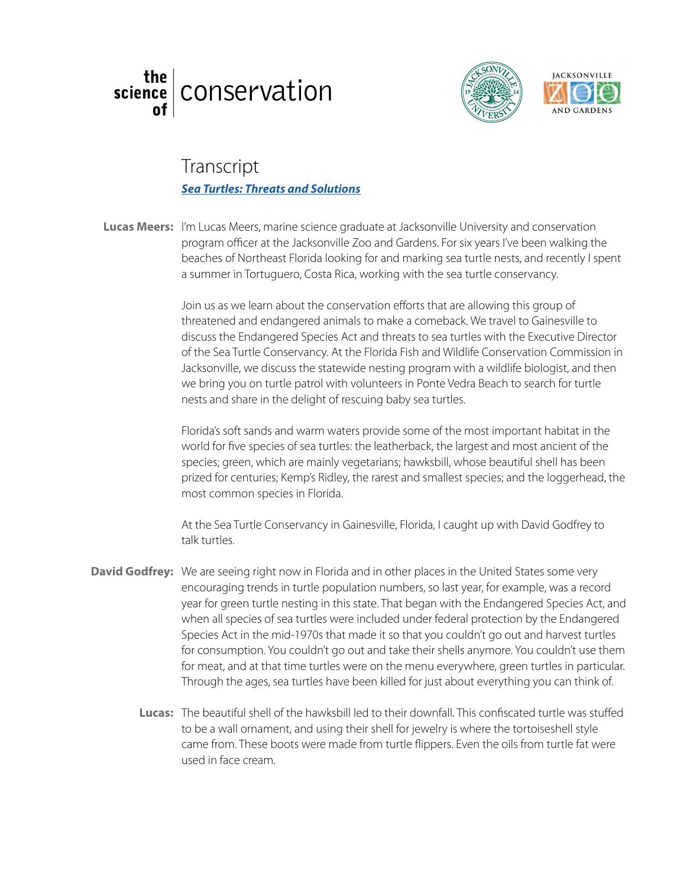



## glass blowing *[Sea Turtles: Threats and Solutions](https://www.youtube.com/watch?v=IgkXlnqiVQE&feature=youtu.be&list=PL3yUqqo9BJOEQcUkeOau_PORqS7hXqcDc)*Transcript

Lucas Meers: I'm Lucas Meers, marine science graduate at Jacksonville University and conservation program officer at the Jacksonville Zoo and Gardens. For six years I've been walking the beaches of Northeast Florida looking for and marking sea turtle nests, and recently I spent a summer in Tortuguero, Costa Rica, working with the sea turtle conservancy. a summer in Tortuguero, Costa Rica, working with the sea turtle conservancy.

> Join us as we learn about the conservation efforts that are allowing this group of threatened and endangered animals to make a comeback. We travel to Gainesville to discuss the Endangered Species Act and threats to sea turtles with the Executive Director discuss the Endangered Species Act and threats to sea turtles with the Executive Director<br>of the Sea Turtle Conservancy. At the Florida Fish and Wildlife Conservation Commission in Jacksonville, we discuss the statewide nesting program with a wildlife biologist, and then we bring you on turtle patrol with volunteers in Ponte Vedra Beach to search for turtle nests and share in the delight of rescuing baby sea turtles.

> Florida's soft sands and warm waters provide some of the most important habitat in the world for five species of sea turtles: the leatherback, the largest and most ancient of the species; green, which are mainly vegetarians; hawksbill, whose beautiful shell has been prized for centuries; Kemp's Ridley, the rarest and smallest species; and the loggerhead, the most common species in Florida.

At the Sea Turtle Conservancy in Gainesville, Florida, I caught up with David Godfrey to talk turtles.

- David Godfrey: We are seeing right now in Florida and in other places in the United States some very encouraging trends in turtle population numbers, so last year, for example, was a record year for green turtle nesting in this state. That began with the Endangered Species Act, and when all species of sea turtles were included under federal protection by the Endangered Species Act in the mid-1970s that made it so that you couldn't go out and harvest turtles for consumption. You couldn't go out and take their shells anymore. You couldn't use them for meat, and at that time turtles were on the menu everywhere, green turtles in particular. Through the ages, sea turtles have been killed for just about everything you can think of.
	- Lucas: The beautiful shell of the hawksbill led to their downfall. This confiscated turtle was stuffed to be a wall ornament, and using their shell for jewelry is where the tortoiseshell style came from. These boots were made from turtle flippers. Even the oils from turtle fat were used in face cream.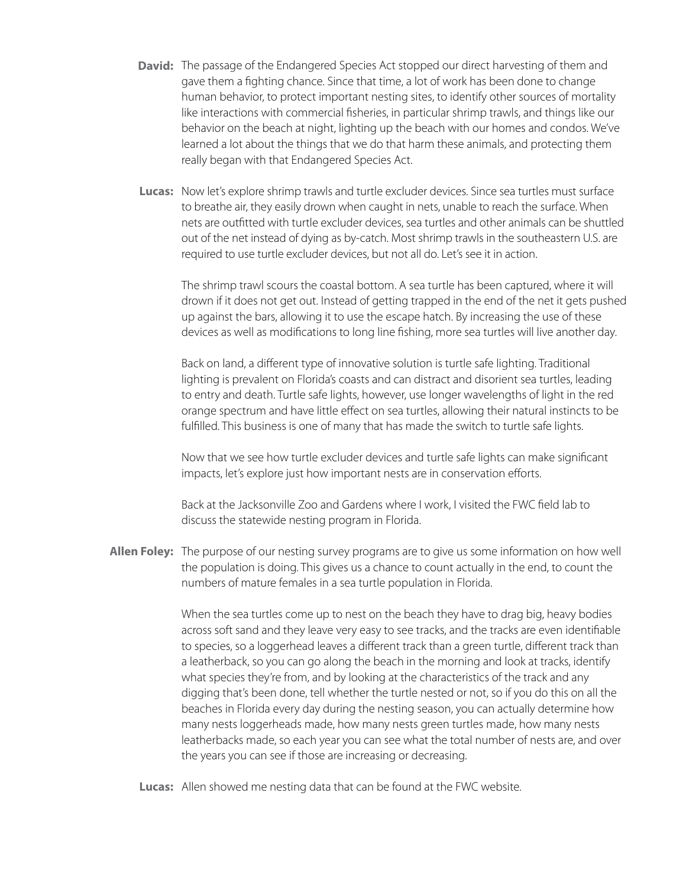- **David:** The passage of the Endangered Species Act stopped our direct harvesting of them and gave them a fighting chance. Since that time, a lot of work has been done to change human behavior, to protect important nesting sites, to identify other sources of mortality like interactions with commercial fisheries, in particular shrimp trawls, and things like our behavior on the beach at night, lighting up the beach with our homes and condos. We've learned a lot about the things that we do that harm these animals, and protecting them really began with that Endangered Species Act.
- Lucas: Now let's explore shrimp trawls and turtle excluder devices. Since sea turtles must surface to breathe air, they easily drown when caught in nets, unable to reach the surface. When nets are outfitted with turtle excluder devices, sea turtles and other animals can be shuttled out of the net instead of dying as by-catch. Most shrimp trawls in the southeastern U.S. are required to use turtle excluder devices, but not all do. Let's see it in action.

The shrimp trawl scours the coastal bottom. A sea turtle has been captured, where it will drown if it does not get out. Instead of getting trapped in the end of the net it gets pushed up against the bars, allowing it to use the escape hatch. By increasing the use of these devices as well as modifications to long line fishing, more sea turtles will live another day.

Back on land, a different type of innovative solution is turtle safe lighting. Traditional lighting is prevalent on Florida's coasts and can distract and disorient sea turtles, leading to entry and death. Turtle safe lights, however, use longer wavelengths of light in the red orange spectrum and have little effect on sea turtles, allowing their natural instincts to be fulfilled. This business is one of many that has made the switch to turtle safe lights.

Now that we see how turtle excluder devices and turtle safe lights can make significant impacts, let's explore just how important nests are in conservation efforts.

Back at the Jacksonville Zoo and Gardens where I work, I visited the FWC field lab to discuss the statewide nesting program in Florida.

Allen Foley: The purpose of our nesting survey programs are to give us some information on how well the population is doing. This gives us a chance to count actually in the end, to count the numbers of mature females in a sea turtle population in Florida.

> When the sea turtles come up to nest on the beach they have to drag big, heavy bodies across soft sand and they leave very easy to see tracks, and the tracks are even identifiable to species, so a loggerhead leaves a different track than a green turtle, different track than a leatherback, so you can go along the beach in the morning and look at tracks, identify what species they're from, and by looking at the characteristics of the track and any digging that's been done, tell whether the turtle nested or not, so if you do this on all the beaches in Florida every day during the nesting season, you can actually determine how many nests loggerheads made, how many nests green turtles made, how many nests leatherbacks made, so each year you can see what the total number of nests are, and over the years you can see if those are increasing or decreasing.

Lucas: Allen showed me nesting data that can be found at the FWC website.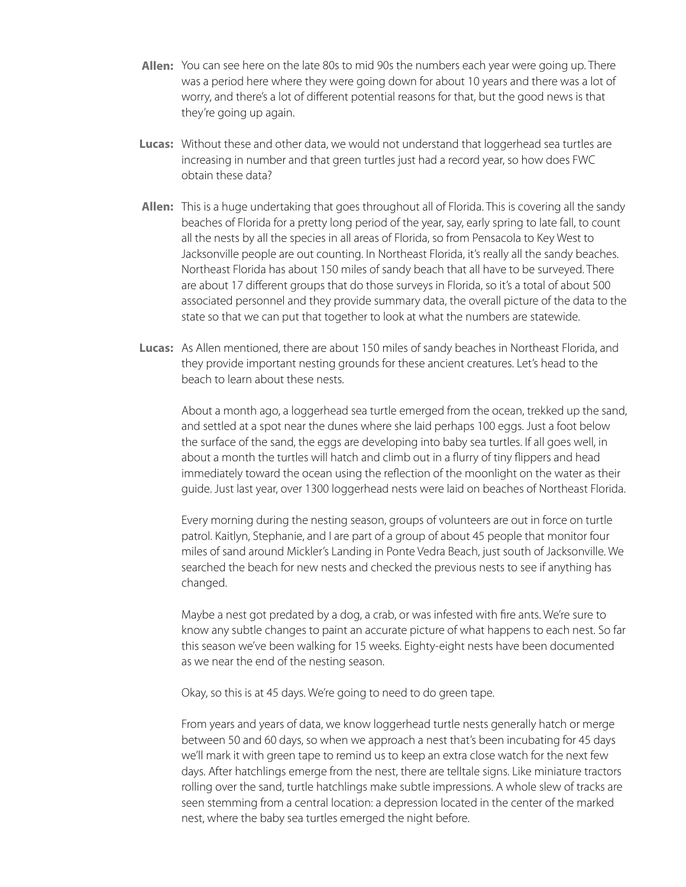- Allen: You can see here on the late 80s to mid 90s the numbers each year were going up. There was a period here where they were going down for about 10 years and there was a lot of worry, and there's a lot of different potential reasons for that, but the good news is that they're going up again.
- Lucas: Without these and other data, we would not understand that loggerhead sea turtles are increasing in number and that green turtles just had a record year, so how does FWC obtain these data?
- Allen: This is a huge undertaking that goes throughout all of Florida. This is covering all the sandy beaches of Florida for a pretty long period of the year, say, early spring to late fall, to count all the nests by all the species in all areas of Florida, so from Pensacola to Key West to Jacksonville people are out counting. In Northeast Florida, it's really all the sandy beaches. Northeast Florida has about 150 miles of sandy beach that all have to be surveyed. There are about 17 different groups that do those surveys in Florida, so it's a total of about 500 associated personnel and they provide summary data, the overall picture of the data to the state so that we can put that together to look at what the numbers are statewide.
- Lucas: As Allen mentioned, there are about 150 miles of sandy beaches in Northeast Florida, and they provide important nesting grounds for these ancient creatures. Let's head to the beach to learn about these nests.

About a month ago, a loggerhead sea turtle emerged from the ocean, trekked up the sand, and settled at a spot near the dunes where she laid perhaps 100 eggs. Just a foot below the surface of the sand, the eggs are developing into baby sea turtles. If all goes well, in about a month the turtles will hatch and climb out in a flurry of tiny flippers and head immediately toward the ocean using the reflection of the moonlight on the water as their guide. Just last year, over 1300 loggerhead nests were laid on beaches of Northeast Florida.

Every morning during the nesting season, groups of volunteers are out in force on turtle patrol. Kaitlyn, Stephanie, and I are part of a group of about 45 people that monitor four miles of sand around Mickler's Landing in Ponte Vedra Beach, just south of Jacksonville. We searched the beach for new nests and checked the previous nests to see if anything has changed.

Maybe a nest got predated by a dog, a crab, or was infested with fire ants. We're sure to know any subtle changes to paint an accurate picture of what happens to each nest. So far this season we've been walking for 15 weeks. Eighty-eight nests have been documented as we near the end of the nesting season.

Okay, so this is at 45 days. We're going to need to do green tape.

From years and years of data, we know loggerhead turtle nests generally hatch or merge between 50 and 60 days, so when we approach a nest that's been incubating for 45 days we'll mark it with green tape to remind us to keep an extra close watch for the next few days. After hatchlings emerge from the nest, there are telltale signs. Like miniature tractors rolling over the sand, turtle hatchlings make subtle impressions. A whole slew of tracks are seen stemming from a central location: a depression located in the center of the marked nest, where the baby sea turtles emerged the night before.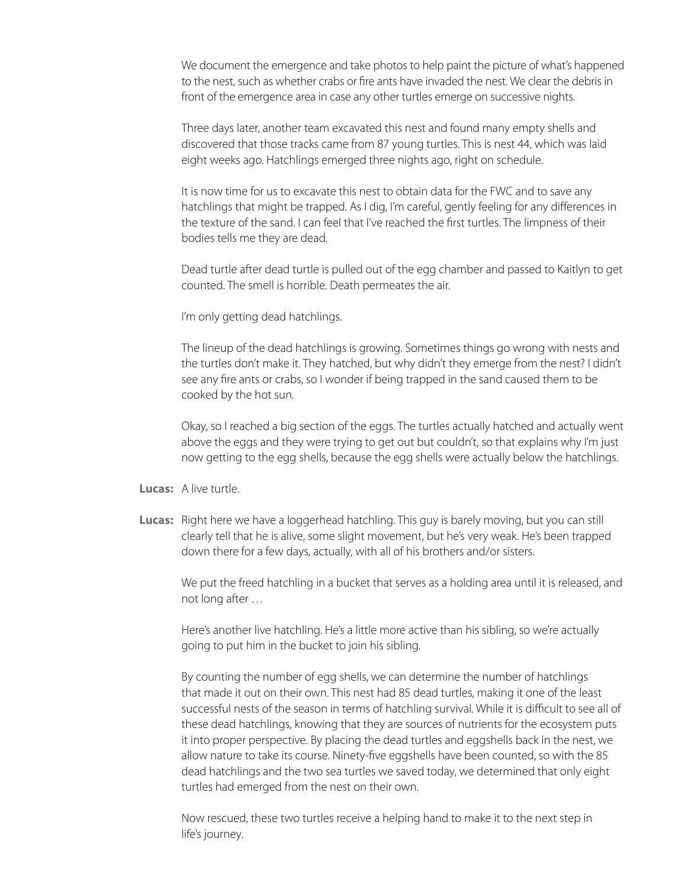We document the emergence and take photos to help paint the picture of what's happened to the nest, such as whether crabs or fire ants have invaded the nest. We clear the debris in front of the emergence area in case any other turtles emerge on successive nights.

Three days later, another team excavated this nest and found many empty shells and discovered that those tracks came from 87 young turtles. This is nest 44, which was laid eight weeks ago. Hatchlings emerged three nights ago, right on schedule.

It is now time for us to excavate this nest to obtain data for the FWC and to save any hatchlings that might be trapped. As I dig, I'm careful, gently feeling for any differences in the texture of the sand. I can feel that I've reached the first turtles. The limpness of their bodies tells me they are dead.

Dead turtle after dead turtle is pulled out of the egg chamber and passed to Kaitlyn to get counted. The smell is horrible. Death permeates the air.

I'm only getting dead hatchlings.

The lineup of the dead hatchlings is growing. Sometimes things go wrong with nests and the turtles don't make it. They hatched, but why didn't they emerge from the nest? I didn't see any fire ants or crabs, so I wonder if being trapped in the sand caused them to be cooked by the hot sun.

Okay, so I reached a big section of the eggs. The turtles actually hatched and actually went above the eggs and they were trying to get out but couldn't, so that explains why I'm just now getting to the egg shells, because the egg shells were actually below the hatchlings.

**Lucas:** A live turtle.

Lucas: Right here we have a loggerhead hatchling. This guy is barely moving, but you can still clearly tell that he is alive, some slight movement, but he's very weak. He's been trapped down there for a few days, actually, with all of his brothers and/or sisters.

We put the freed hatchling in a bucket that serves as a holding area until it is released, and not long after …

Here's another live hatchling. He's a little more active than his sibling, so we're actually going to put him in the bucket to join his sibling.

By counting the number of egg shells, we can determine the number of hatchlings that made it out on their own. This nest had 85 dead turtles, making it one of the least successful nests of the season in terms of hatchling survival. While it is difficult to see all of these dead hatchlings, knowing that they are sources of nutrients for the ecosystem puts it into proper perspective. By placing the dead turtles and eggshells back in the nest, we allow nature to take its course. Ninety-five eggshells have been counted, so with the 85 dead hatchlings and the two sea turtles we saved today, we determined that only eight turtles had emerged from the nest on their own.

Now rescued, these two turtles receive a helping hand to make it to the next step in life's journey.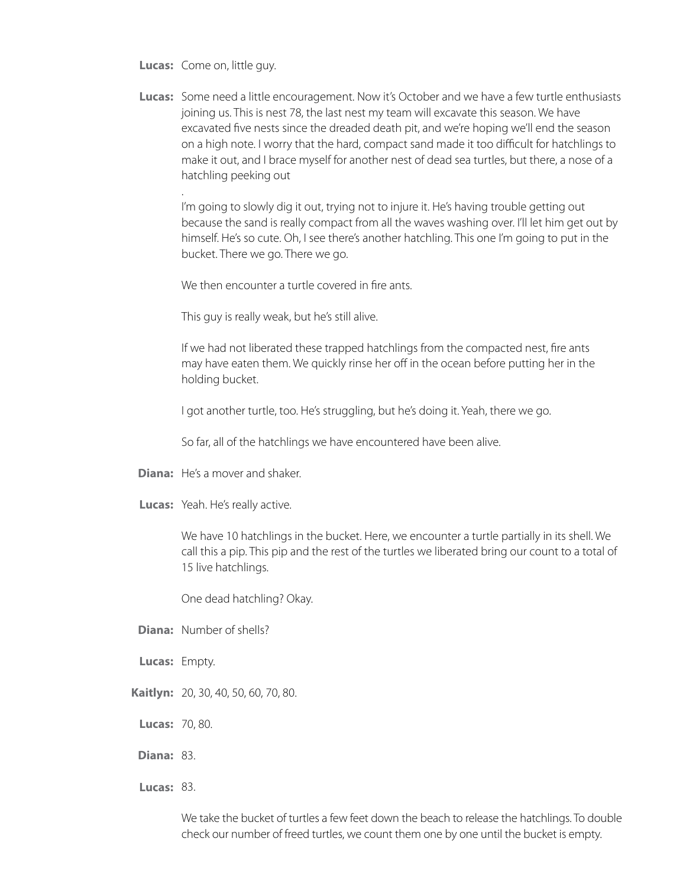**Lucas:** Come on, little guy.

.

Lucas: Some need a little encouragement. Now it's October and we have a few turtle enthusiasts joining us. This is nest 78, the last nest my team will excavate this season. We have excavated five nests since the dreaded death pit, and we're hoping we'll end the season on a high note. I worry that the hard, compact sand made it too difficult for hatchlings to make it out, and I brace myself for another nest of dead sea turtles, but there, a nose of a hatchling peeking out

I'm going to slowly dig it out, trying not to injure it. He's having trouble getting out because the sand is really compact from all the waves washing over. I'll let him get out by himself. He's so cute. Oh, I see there's another hatchling. This one I'm going to put in the bucket. There we go. There we go.

We then encounter a turtle covered in fire ants.

This guy is really weak, but he's still alive.

If we had not liberated these trapped hatchlings from the compacted nest, fire ants may have eaten them. We quickly rinse her off in the ocean before putting her in the holding bucket.

I got another turtle, too. He's struggling, but he's doing it. Yeah, there we go.

So far, all of the hatchlings we have encountered have been alive.

- **Diana:** He's a mover and shaker.
- Lucas: Yeah. He's really active.

We have 10 hatchlings in the bucket. Here, we encounter a turtle partially in its shell. We call this a pip. This pip and the rest of the turtles we liberated bring our count to a total of 15 live hatchlings.

One dead hatchling? Okay.

- **Diana:** Number of shells?
- Lucas: Empty.
- 20, 30, 40, 50, 60, 70, 80. **Kaitlyn:**
- **Lucas: 70,80.**
- **Diana: 83.**
- **Lucas: 83.**

We take the bucket of turtles a few feet down the beach to release the hatchlings. To double check our number of freed turtles, we count them one by one until the bucket is empty.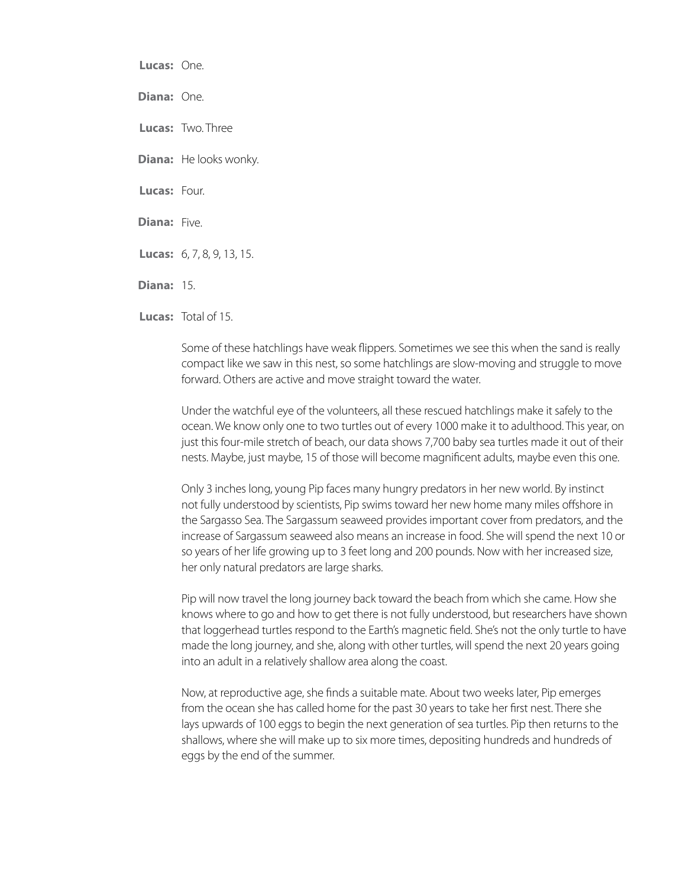Lucas: One. Diana: One. Lucas: Two. Three **Diana:** He looks wonky. Lucas: Four. Diana: Five. 6, 7, 8, 9, 13, 15. **Lucas: Diana: 15.** 

Lucas: Total of 15.

Some of these hatchlings have weak flippers. Sometimes we see this when the sand is really compact like we saw in this nest, so some hatchlings are slow-moving and struggle to move forward. Others are active and move straight toward the water.

Under the watchful eye of the volunteers, all these rescued hatchlings make it safely to the ocean. We know only one to two turtles out of every 1000 make it to adulthood. This year, on just this four-mile stretch of beach, our data shows 7,700 baby sea turtles made it out of their nests. Maybe, just maybe, 15 of those will become magnificent adults, maybe even this one.

Only 3 inches long, young Pip faces many hungry predators in her new world. By instinct not fully understood by scientists, Pip swims toward her new home many miles offshore in the Sargasso Sea. The Sargassum seaweed provides important cover from predators, and the increase of Sargassum seaweed also means an increase in food. She will spend the next 10 or so years of her life growing up to 3 feet long and 200 pounds. Now with her increased size, her only natural predators are large sharks.

Pip will now travel the long journey back toward the beach from which she came. How she knows where to go and how to get there is not fully understood, but researchers have shown that loggerhead turtles respond to the Earth's magnetic field. She's not the only turtle to have made the long journey, and she, along with other turtles, will spend the next 20 years going into an adult in a relatively shallow area along the coast.

Now, at reproductive age, she finds a suitable mate. About two weeks later, Pip emerges from the ocean she has called home for the past 30 years to take her first nest. There she lays upwards of 100 eggs to begin the next generation of sea turtles. Pip then returns to the shallows, where she will make up to six more times, depositing hundreds and hundreds of eggs by the end of the summer.